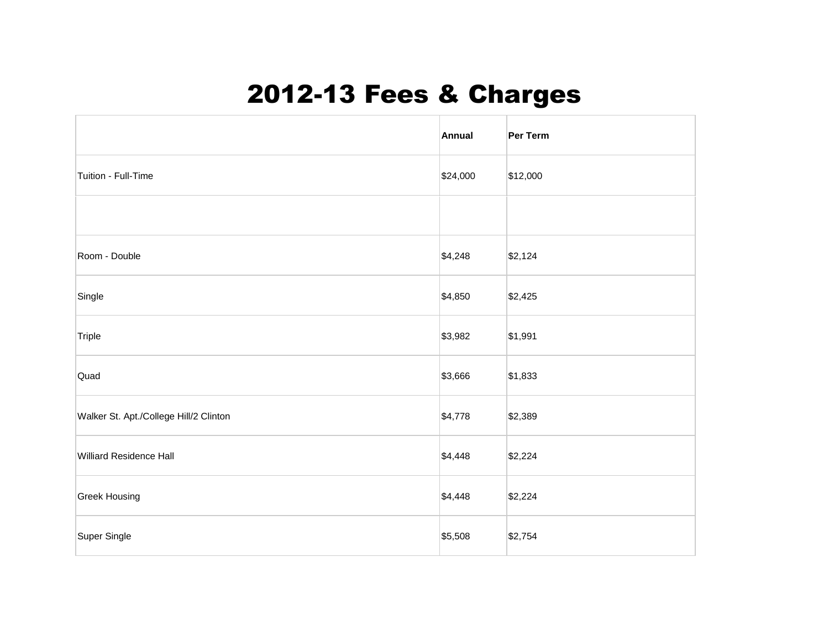## 2012-13 Fees & Charges

|                                        | Annual   | Per Term |
|----------------------------------------|----------|----------|
| Tuition - Full-Time                    | \$24,000 | \$12,000 |
|                                        |          |          |
| Room - Double                          | \$4,248  | \$2,124  |
| Single                                 | \$4,850  | \$2,425  |
| Triple                                 | \$3,982  | \$1,991  |
| Quad                                   | \$3,666  | \$1,833  |
| Walker St. Apt./College Hill/2 Clinton | \$4,778  | \$2,389  |
| <b>Williard Residence Hall</b>         | \$4,448  | \$2,224  |
| <b>Greek Housing</b>                   | \$4,448  | \$2,224  |
| Super Single                           | \$5,508  | \$2,754  |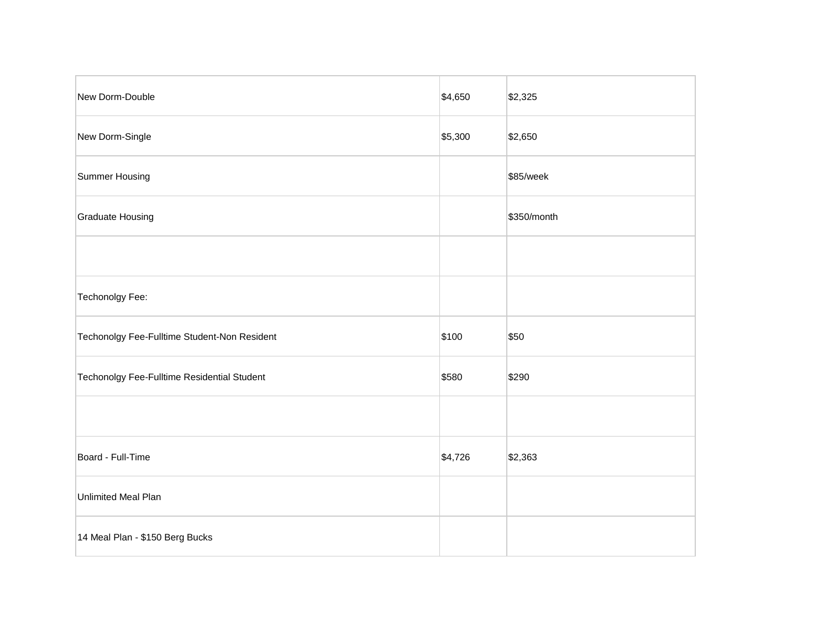| New Dorm-Double                              | \$4,650 | \$2,325     |
|----------------------------------------------|---------|-------------|
| New Dorm-Single                              | \$5,300 | \$2,650     |
| Summer Housing                               |         | \$85/week   |
| <b>Graduate Housing</b>                      |         | \$350/month |
|                                              |         |             |
| Techonolgy Fee:                              |         |             |
| Techonolgy Fee-Fulltime Student-Non Resident | \$100   | \$50        |
| Techonolgy Fee-Fulltime Residential Student  | \$580   | \$290       |
|                                              |         |             |
| Board - Full-Time                            | \$4,726 | \$2,363     |
| Unlimited Meal Plan                          |         |             |
| 14 Meal Plan - \$150 Berg Bucks              |         |             |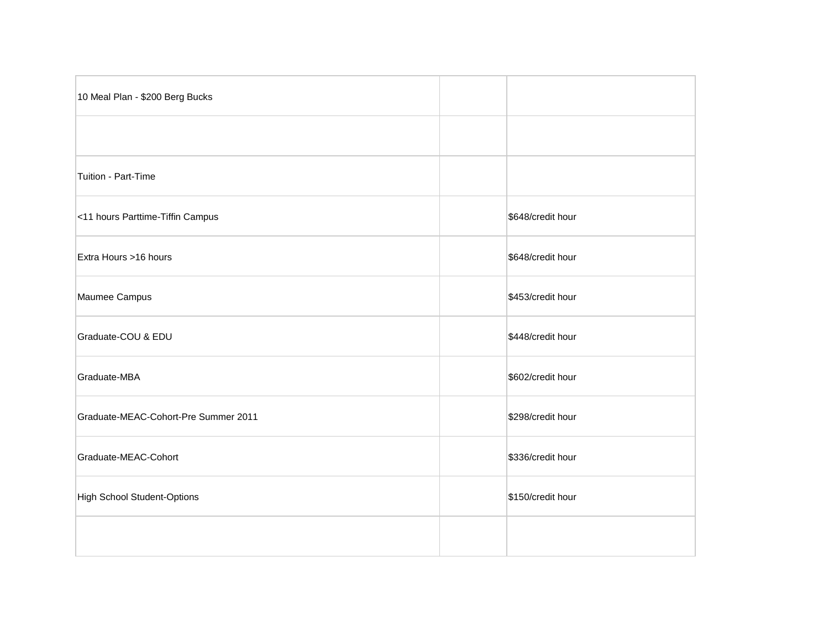| 10 Meal Plan - \$200 Berg Bucks      |                   |
|--------------------------------------|-------------------|
|                                      |                   |
| Tuition - Part-Time                  |                   |
| <11 hours Parttime-Tiffin Campus     | \$648/credit hour |
| Extra Hours >16 hours                | \$648/credit hour |
| Maumee Campus                        | \$453/credit hour |
| Graduate-COU & EDU                   | \$448/credit hour |
| Graduate-MBA                         | \$602/credit hour |
| Graduate-MEAC-Cohort-Pre Summer 2011 | \$298/credit hour |
| Graduate-MEAC-Cohort                 | \$336/credit hour |
| <b>High School Student-Options</b>   | \$150/credit hour |
|                                      |                   |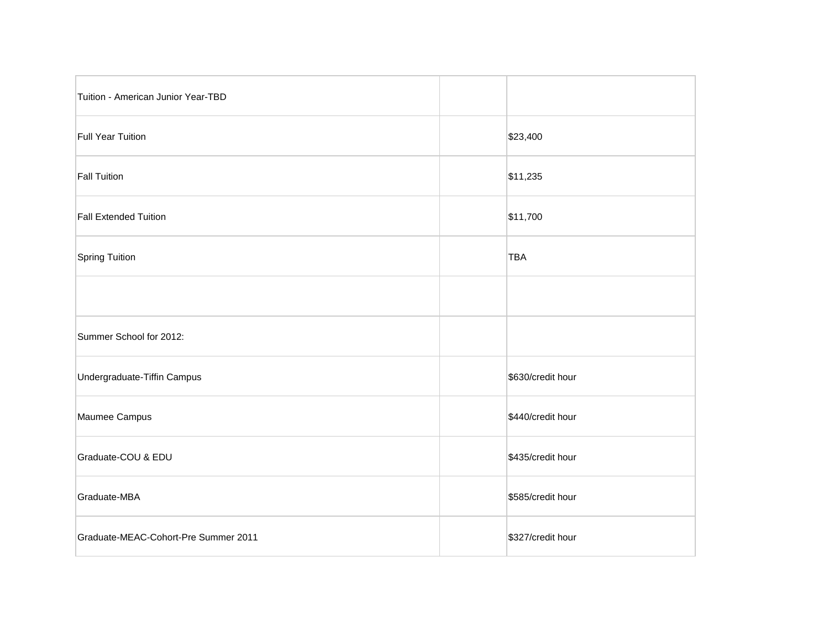| Tuition - American Junior Year-TBD   |                   |
|--------------------------------------|-------------------|
| Full Year Tuition                    | \$23,400          |
| Fall Tuition                         | \$11,235          |
| <b>Fall Extended Tuition</b>         | \$11,700          |
| Spring Tuition                       | <b>TBA</b>        |
|                                      |                   |
| Summer School for 2012:              |                   |
| Undergraduate-Tiffin Campus          | \$630/credit hour |
| Maumee Campus                        | \$440/credit hour |
| Graduate-COU & EDU                   | \$435/credit hour |
| Graduate-MBA                         | \$585/credit hour |
| Graduate-MEAC-Cohort-Pre Summer 2011 | \$327/credit hour |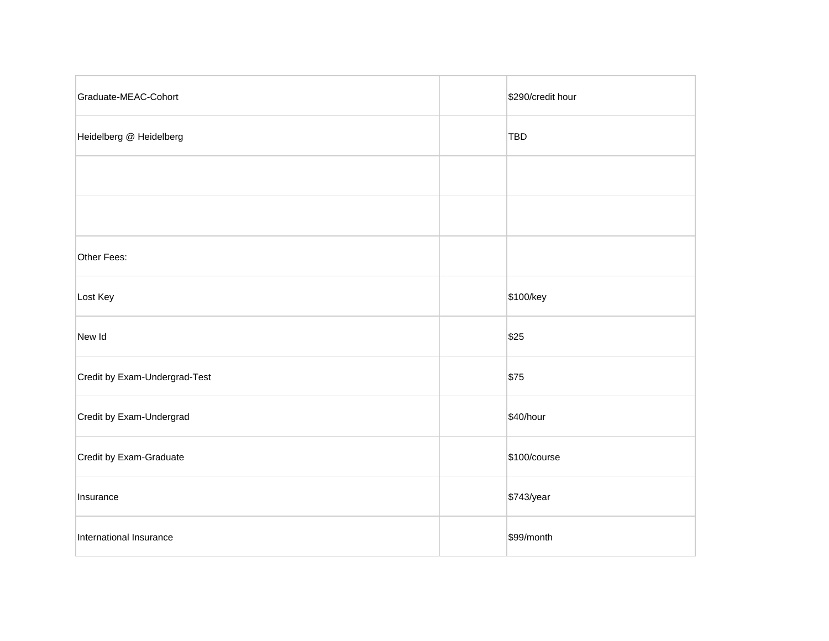| Graduate-MEAC-Cohort          | \$290/credit hour |
|-------------------------------|-------------------|
| Heidelberg @ Heidelberg       | <b>TBD</b>        |
|                               |                   |
|                               |                   |
| Other Fees:                   |                   |
| Lost Key                      | \$100/key         |
| New Id                        | \$25              |
| Credit by Exam-Undergrad-Test | \$75              |
| Credit by Exam-Undergrad      | \$40/hour         |
| Credit by Exam-Graduate       | \$100/course      |
| Insurance                     | \$743/year        |
| International Insurance       | \$99/month        |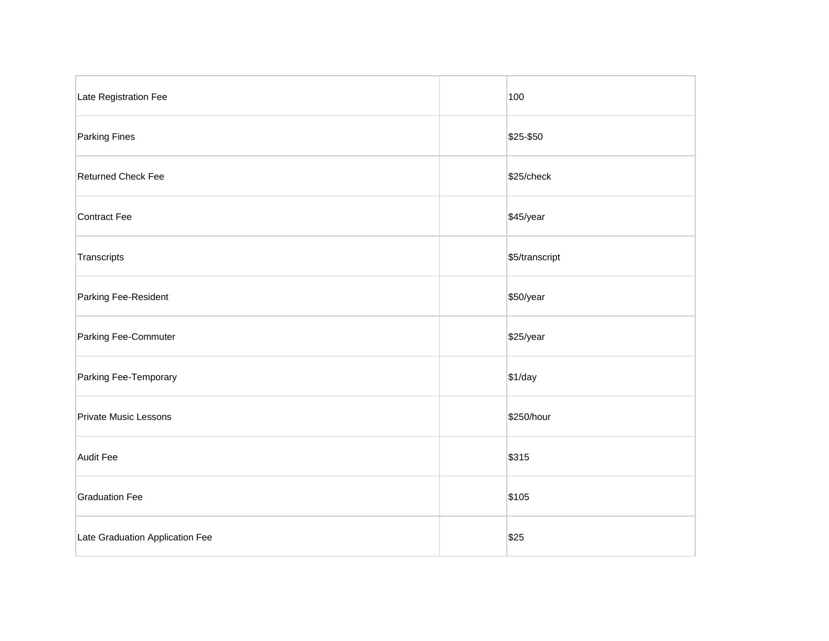| Late Registration Fee           | 100            |
|---------------------------------|----------------|
| <b>Parking Fines</b>            | \$25-\$50      |
| <b>Returned Check Fee</b>       | \$25/check     |
| Contract Fee                    | \$45/year      |
| Transcripts                     | \$5/transcript |
| Parking Fee-Resident            | \$50/year      |
| Parking Fee-Commuter            | \$25/year      |
| Parking Fee-Temporary           | \$1/day        |
| <b>Private Music Lessons</b>    | \$250/hour     |
| <b>Audit Fee</b>                | \$315          |
| <b>Graduation Fee</b>           | \$105          |
| Late Graduation Application Fee | \$25           |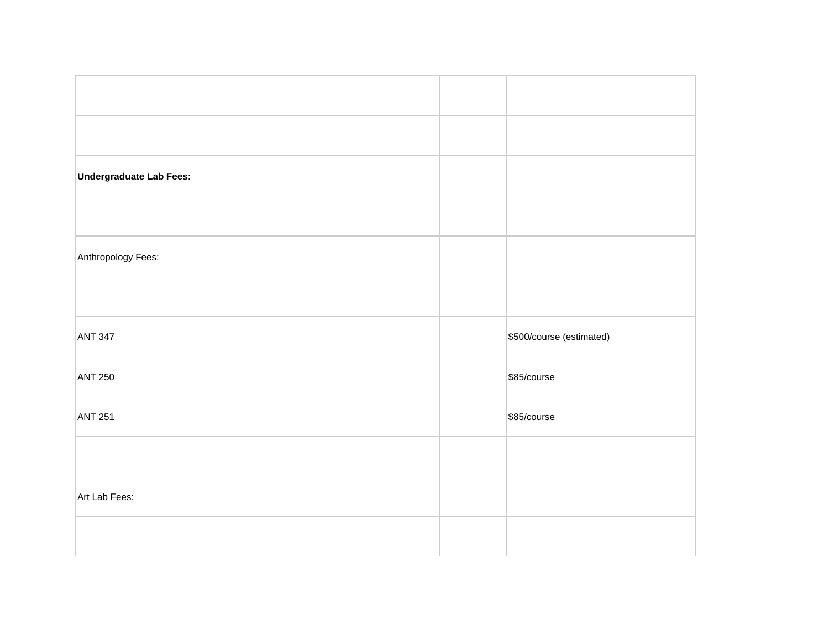| Undergraduate Lab Fees: |                          |
|-------------------------|--------------------------|
|                         |                          |
|                         |                          |
|                         |                          |
|                         |                          |
| Anthropology Fees:      |                          |
|                         |                          |
|                         |                          |
|                         |                          |
|                         |                          |
|                         |                          |
| <b>ANT 347</b>          | \$500/course (estimated) |
|                         |                          |
| <b>ANT 250</b>          | \$85/course              |
|                         |                          |
|                         |                          |
|                         | \$85/course              |
|                         |                          |
| <b>ANT 251</b>          |                          |
|                         |                          |
| Art Lab Fees:           |                          |
|                         |                          |
|                         |                          |
|                         |                          |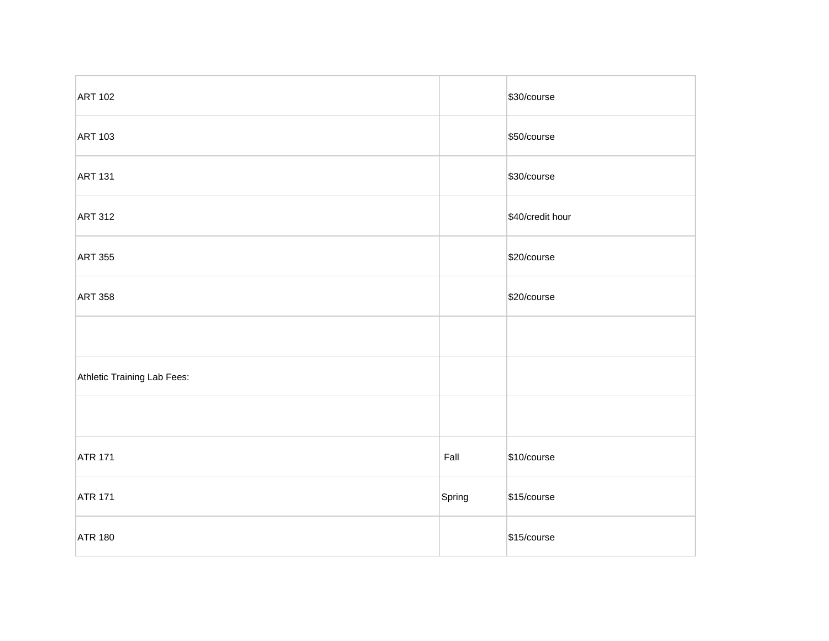| <b>ART 102</b>              |        | \$30/course      |
|-----------------------------|--------|------------------|
| <b>ART 103</b>              |        | \$50/course      |
| <b>ART 131</b>              |        | \$30/course      |
| <b>ART 312</b>              |        | \$40/credit hour |
| <b>ART 355</b>              |        | \$20/course      |
| <b>ART 358</b>              |        | \$20/course      |
|                             |        |                  |
| Athletic Training Lab Fees: |        |                  |
|                             |        |                  |
| <b>ATR 171</b>              | Fall   | \$10/course      |
| <b>ATR 171</b>              | Spring | \$15/course      |
| <b>ATR 180</b>              |        | \$15/course      |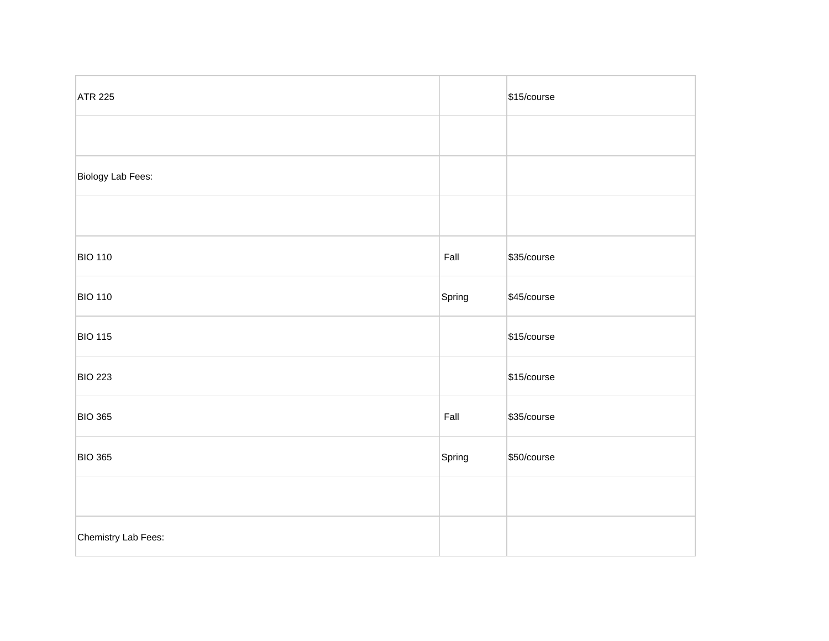| <b>ATR 225</b>      |        | \$15/course |
|---------------------|--------|-------------|
|                     |        |             |
| Biology Lab Fees:   |        |             |
|                     |        |             |
| <b>BIO 110</b>      | Fall   | \$35/course |
| <b>BIO 110</b>      | Spring | \$45/course |
| <b>BIO 115</b>      |        | \$15/course |
| <b>BIO 223</b>      |        | \$15/course |
| <b>BIO 365</b>      | Fall   | \$35/course |
| <b>BIO 365</b>      | Spring | \$50/course |
|                     |        |             |
| Chemistry Lab Fees: |        |             |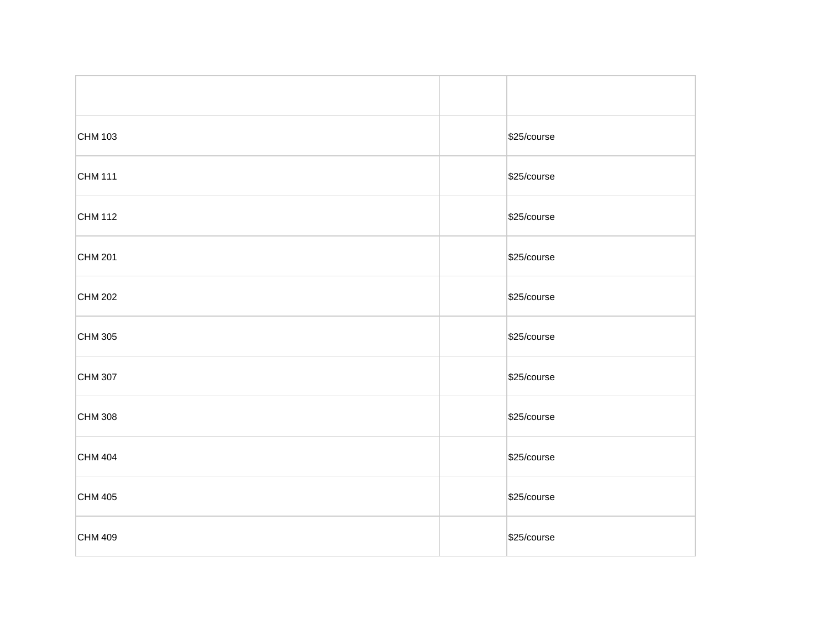| CHM 103 | \$25/course |
|---------|-------------|
| CHM 111 | \$25/course |
| CHM 112 | \$25/course |
| CHM 201 | \$25/course |
| CHM 202 | \$25/course |
| CHM 305 | \$25/course |
| CHM 307 | \$25/course |
| CHM 308 | \$25/course |
| CHM 404 | \$25/course |
| CHM 405 | \$25/course |
| CHM 409 | \$25/course |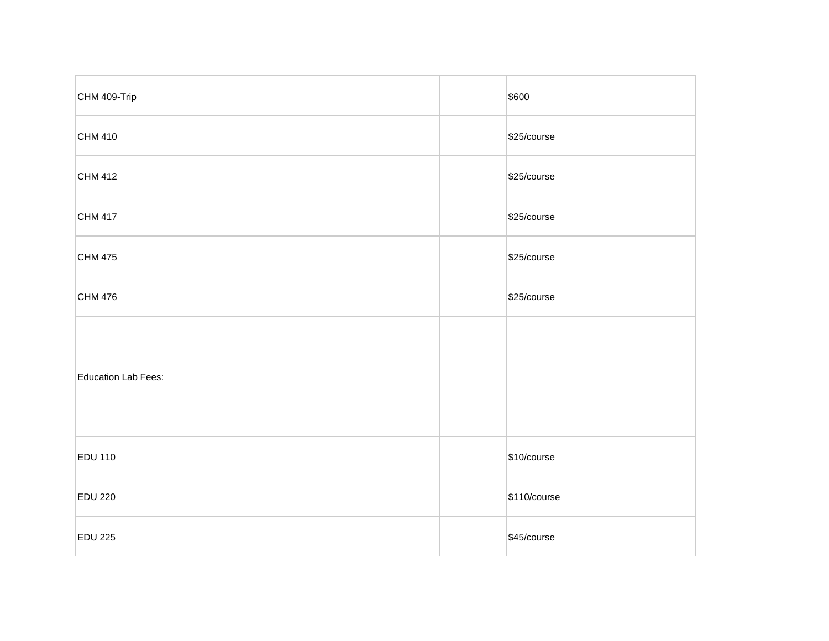| CHM 409-Trip        | \$600        |
|---------------------|--------------|
| CHM 410             | \$25/course  |
| CHM 412             | \$25/course  |
| CHM 417             | \$25/course  |
| CHM 475             | \$25/course  |
| CHM 476             | \$25/course  |
|                     |              |
| Education Lab Fees: |              |
|                     |              |
| <b>EDU 110</b>      | \$10/course  |
| <b>EDU 220</b>      | \$110/course |
| <b>EDU 225</b>      | \$45/course  |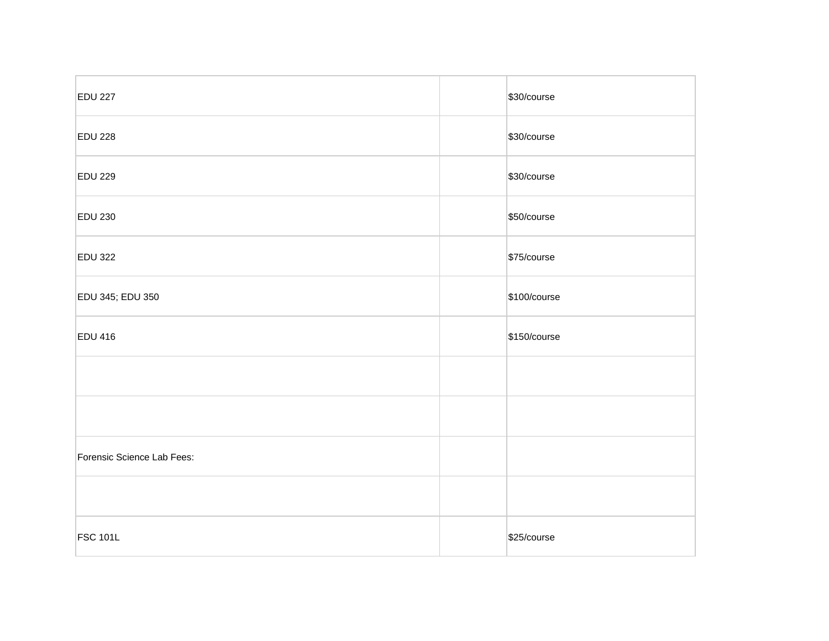| <b>EDU 227</b>             | \$30/course  |
|----------------------------|--------------|
| <b>EDU 228</b>             | \$30/course  |
| <b>EDU 229</b>             | \$30/course  |
| <b>EDU 230</b>             | \$50/course  |
| <b>EDU 322</b>             | \$75/course  |
| EDU 345; EDU 350           | \$100/course |
| <b>EDU 416</b>             | \$150/course |
|                            |              |
|                            |              |
| Forensic Science Lab Fees: |              |
|                            |              |
| <b>FSC 101L</b>            | \$25/course  |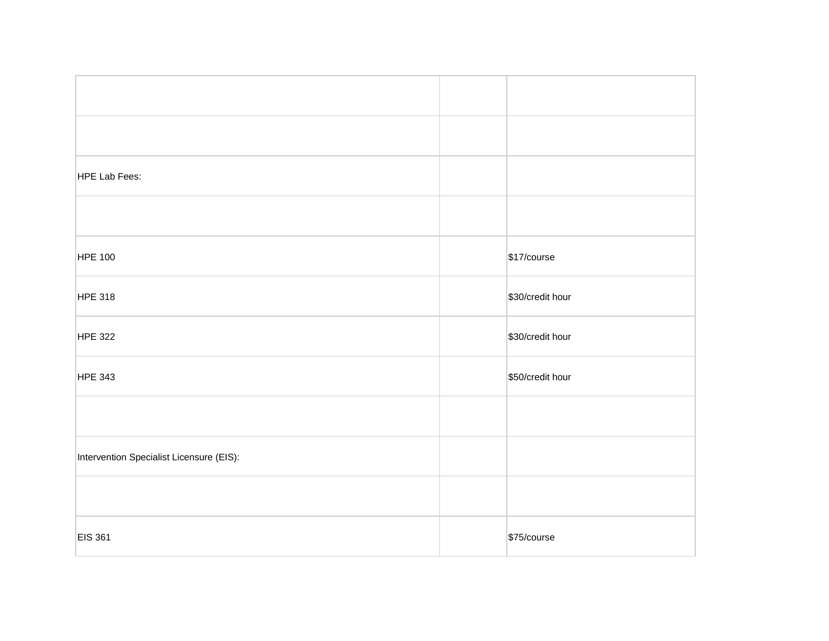| HPE Lab Fees:                            |                  |
|------------------------------------------|------------------|
|                                          |                  |
| <b>HPE 100</b>                           | \$17/course      |
| <b>HPE 318</b>                           | \$30/credit hour |
| <b>HPE 322</b>                           | \$30/credit hour |
| <b>HPE 343</b>                           | \$50/credit hour |
|                                          |                  |
| Intervention Specialist Licensure (EIS): |                  |
|                                          |                  |
| <b>EIS 361</b>                           | \$75/course      |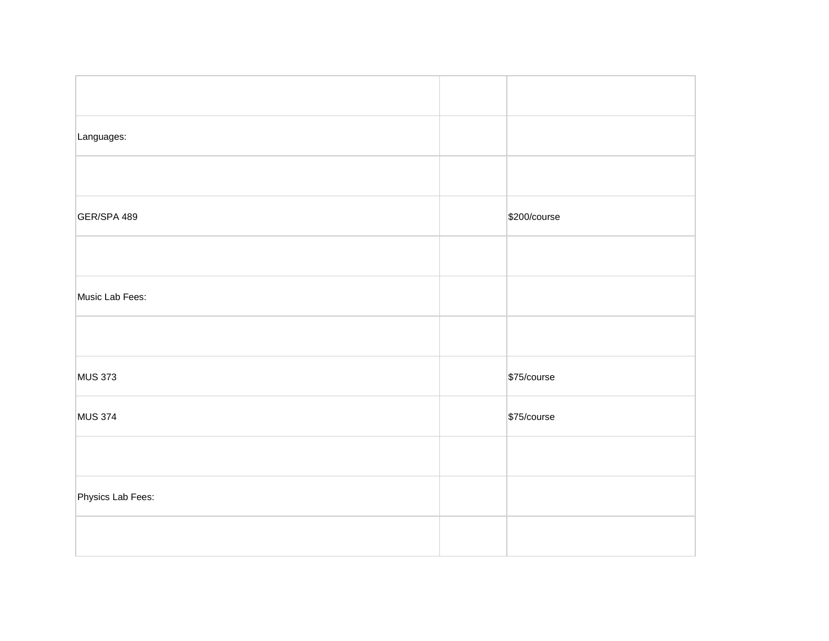| Languages:        |              |
|-------------------|--------------|
|                   |              |
| GER/SPA 489       | \$200/course |
|                   |              |
| Music Lab Fees:   |              |
|                   |              |
| <b>MUS 373</b>    | \$75/course  |
| <b>MUS 374</b>    | \$75/course  |
|                   |              |
| Physics Lab Fees: |              |
|                   |              |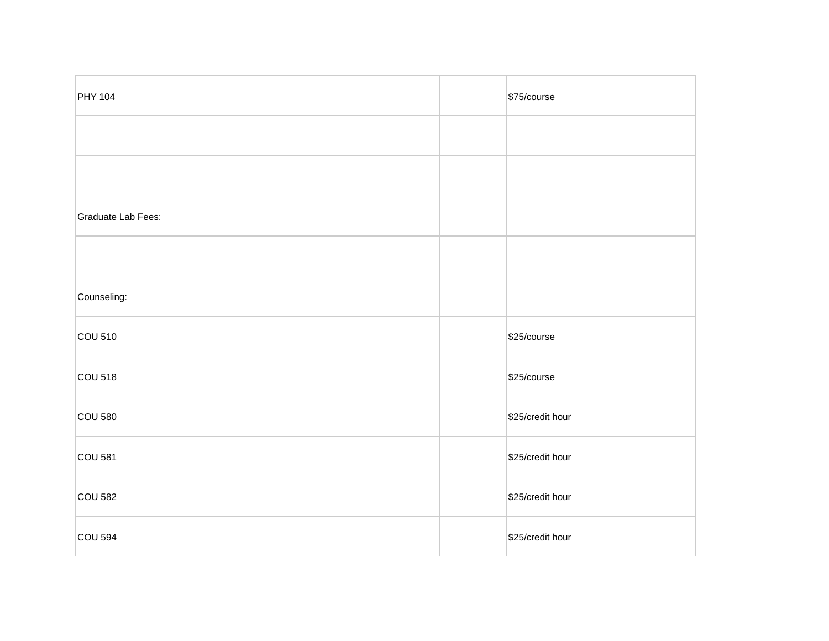| <b>PHY 104</b>     | \$75/course      |
|--------------------|------------------|
|                    |                  |
|                    |                  |
| Graduate Lab Fees: |                  |
|                    |                  |
| Counseling:        |                  |
| COU 510            | \$25/course      |
| <b>COU 518</b>     | \$25/course      |
| <b>COU 580</b>     | \$25/credit hour |
| <b>COU 581</b>     | \$25/credit hour |
| <b>COU 582</b>     | \$25/credit hour |
| <b>COU 594</b>     | \$25/credit hour |